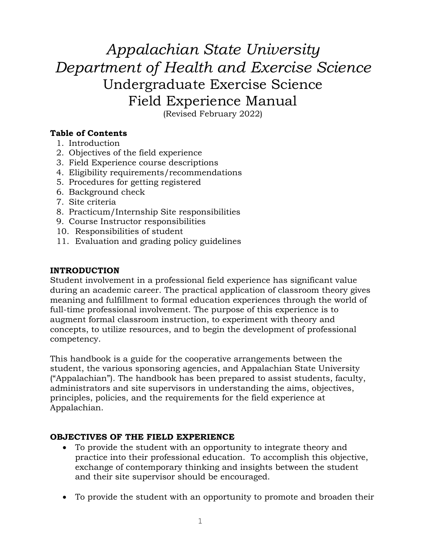*Appalachian State University Department of Health and Exercise Science* Undergraduate Exercise Science Field Experience Manual

(Revised February 2022)

# **Table of Contents**

- 1. Introduction
- 2. Objectives of the field experience
- 3. Field Experience course descriptions
- 4. Eligibility requirements/recommendations
- 5. Procedures for getting registered
- 6. Background check
- 7. Site criteria
- 8. Practicum/Internship Site responsibilities
- 9. Course Instructor responsibilities
- 10. Responsibilities of student
- 11. Evaluation and grading policy guidelines

# **INTRODUCTION**

Student involvement in a professional field experience has significant value during an academic career. The practical application of classroom theory gives meaning and fulfillment to formal education experiences through the world of full-time professional involvement. The purpose of this experience is to augment formal classroom instruction, to experiment with theory and concepts, to utilize resources, and to begin the development of professional competency.

This handbook is a guide for the cooperative arrangements between the student, the various sponsoring agencies, and Appalachian State University ("Appalachian"). The handbook has been prepared to assist students, faculty, administrators and site supervisors in understanding the aims, objectives, principles, policies, and the requirements for the field experience at Appalachian.

# **OBJECTIVES OF THE FIELD EXPERIENCE**

- To provide the student with an opportunity to integrate theory and practice into their professional education. To accomplish this objective, exchange of contemporary thinking and insights between the student and their site supervisor should be encouraged.
- To provide the student with an opportunity to promote and broaden their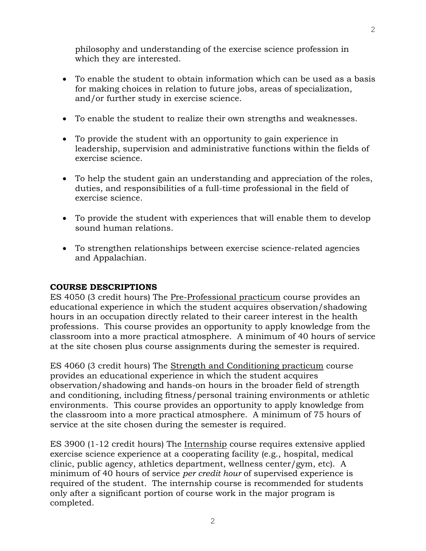philosophy and understanding of the exercise science profession in which they are interested.

- To enable the student to obtain information which can be used as a basis for making choices in relation to future jobs, areas of specialization, and/or further study in exercise science.
- To enable the student to realize their own strengths and weaknesses.
- To provide the student with an opportunity to gain experience in leadership, supervision and administrative functions within the fields of exercise science.
- To help the student gain an understanding and appreciation of the roles, duties, and responsibilities of a full-time professional in the field of exercise science.
- To provide the student with experiences that will enable them to develop sound human relations.
- To strengthen relationships between exercise science-related agencies and Appalachian.

### **COURSE DESCRIPTIONS**

ES 4050 (3 credit hours) The Pre-Professional practicum course provides an educational experience in which the student acquires observation/shadowing hours in an occupation directly related to their career interest in the health professions. This course provides an opportunity to apply knowledge from the classroom into a more practical atmosphere. A minimum of 40 hours of service at the site chosen plus course assignments during the semester is required.

ES 4060 (3 credit hours) The Strength and Conditioning practicum course provides an educational experience in which the student acquires observation/shadowing and hands-on hours in the broader field of strength and conditioning, including fitness/personal training environments or athletic environments. This course provides an opportunity to apply knowledge from the classroom into a more practical atmosphere. A minimum of 75 hours of service at the site chosen during the semester is required.

ES 3900 (1-12 credit hours) The Internship course requires extensive applied exercise science experience at a cooperating facility (e.g., hospital, medical clinic, public agency, athletics department, wellness center/gym, etc). A minimum of 40 hours of service *per credit hour* of supervised experience is required of the student. The internship course is recommended for students only after a significant portion of course work in the major program is completed.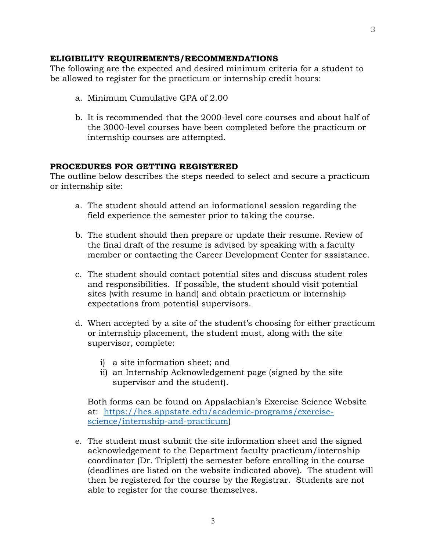#### **ELIGIBILITY REQUIREMENTS/RECOMMENDATIONS**

The following are the expected and desired minimum criteria for a student to be allowed to register for the practicum or internship credit hours:

- a. Minimum Cumulative GPA of 2.00
- b. It is recommended that the 2000-level core courses and about half of the 3000-level courses have been completed before the practicum or internship courses are attempted.

#### **PROCEDURES FOR GETTING REGISTERED**

The outline below describes the steps needed to select and secure a practicum or internship site:

- a. The student should attend an informational session regarding the field experience the semester prior to taking the course.
- b. The student should then prepare or update their resume. Review of the final draft of the resume is advised by speaking with a faculty member or contacting the Career Development Center for assistance.
- c. The student should contact potential sites and discuss student roles and responsibilities. If possible, the student should visit potential sites (with resume in hand) and obtain practicum or internship expectations from potential supervisors.
- d. When accepted by a site of the student's choosing for either practicum or internship placement, the student must, along with the site supervisor, complete:
	- i) a site information sheet; and
	- ii) an Internship Acknowledgement page (signed by the site supervisor and the student).

Both forms can be found on Appalachian's Exercise Science Website at: [https://hes.appstate.edu/academic-programs/exercise](https://hes.appstate.edu/academic-programs/exercise-science/internship-and-practicum)[science/internship-and-practicum\)](https://hes.appstate.edu/academic-programs/exercise-science/internship-and-practicum)

e. The student must submit the site information sheet and the signed acknowledgement to the Department faculty practicum/internship coordinator (Dr. Triplett) the semester before enrolling in the course (deadlines are listed on the website indicated above). The student will then be registered for the course by the Registrar. Students are not able to register for the course themselves.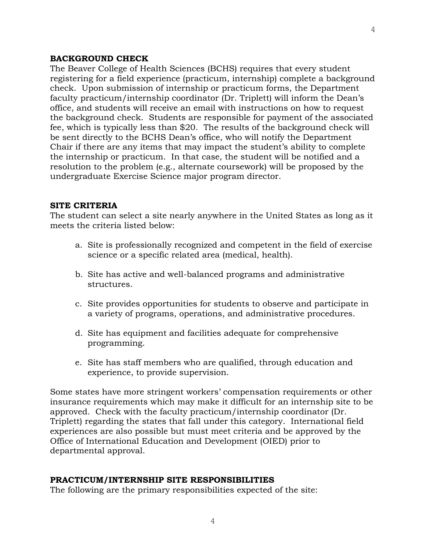#### **BACKGROUND CHECK**

The Beaver College of Health Sciences (BCHS) requires that every student registering for a field experience (practicum, internship) complete a background check. Upon submission of internship or practicum forms, the Department faculty practicum/internship coordinator (Dr. Triplett) will inform the Dean's office, and students will receive an email with instructions on how to request the background check. Students are responsible for payment of the associated fee, which is typically less than \$20. The results of the background check will be sent directly to the BCHS Dean's office, who will notify the Department Chair if there are any items that may impact the student's ability to complete the internship or practicum. In that case, the student will be notified and a resolution to the problem (e.g., alternate coursework) will be proposed by the undergraduate Exercise Science major program director.

#### **SITE CRITERIA**

The student can select a site nearly anywhere in the United States as long as it meets the criteria listed below:

- a. Site is professionally recognized and competent in the field of exercise science or a specific related area (medical, health).
- b. Site has active and well-balanced programs and administrative structures.
- c. Site provides opportunities for students to observe and participate in a variety of programs, operations, and administrative procedures.
- d. Site has equipment and facilities adequate for comprehensive programming.
- e. Site has staff members who are qualified, through education and experience, to provide supervision.

Some states have more stringent workers' compensation requirements or other insurance requirements which may make it difficult for an internship site to be approved. Check with the faculty practicum/internship coordinator (Dr. Triplett) regarding the states that fall under this category. International field experiences are also possible but must meet criteria and be approved by the Office of International Education and Development (OIED) prior to departmental approval.

#### **PRACTICUM/INTERNSHIP SITE RESPONSIBILITIES**

The following are the primary responsibilities expected of the site: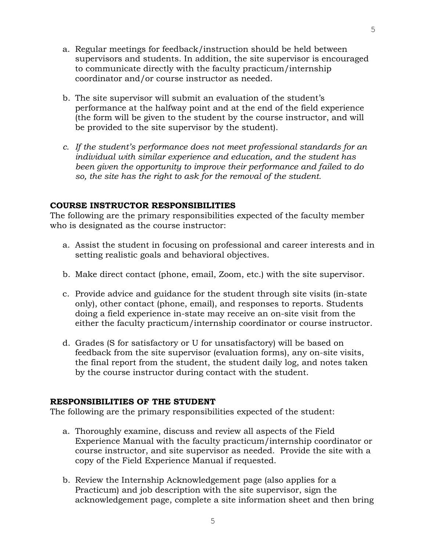- a. Regular meetings for feedback/instruction should be held between supervisors and students. In addition, the site supervisor is encouraged to communicate directly with the faculty practicum/internship coordinator and/or course instructor as needed.
- b. The site supervisor will submit an evaluation of the student's performance at the halfway point and at the end of the field experience (the form will be given to the student by the course instructor, and will be provided to the site supervisor by the student).
- *c. If the student's performance does not meet professional standards for an individual with similar experience and education, and the student has been given the opportunity to improve their performance and failed to do so, the site has the right to ask for the removal of the student.*

### **COURSE INSTRUCTOR RESPONSIBILITIES**

The following are the primary responsibilities expected of the faculty member who is designated as the course instructor:

- a. Assist the student in focusing on professional and career interests and in setting realistic goals and behavioral objectives.
- b. Make direct contact (phone, email, Zoom, etc.) with the site supervisor.
- c. Provide advice and guidance for the student through site visits (in-state only), other contact (phone, email), and responses to reports. Students doing a field experience in-state may receive an on-site visit from the either the faculty practicum/internship coordinator or course instructor.
- d. Grades (S for satisfactory or U for unsatisfactory) will be based on feedback from the site supervisor (evaluation forms), any on-site visits, the final report from the student, the student daily log, and notes taken by the course instructor during contact with the student.

### **RESPONSIBILITIES OF THE STUDENT**

The following are the primary responsibilities expected of the student:

- a. Thoroughly examine, discuss and review all aspects of the Field Experience Manual with the faculty practicum/internship coordinator or course instructor, and site supervisor as needed. Provide the site with a copy of the Field Experience Manual if requested.
- b. Review the Internship Acknowledgement page (also applies for a Practicum) and job description with the site supervisor, sign the acknowledgement page, complete a site information sheet and then bring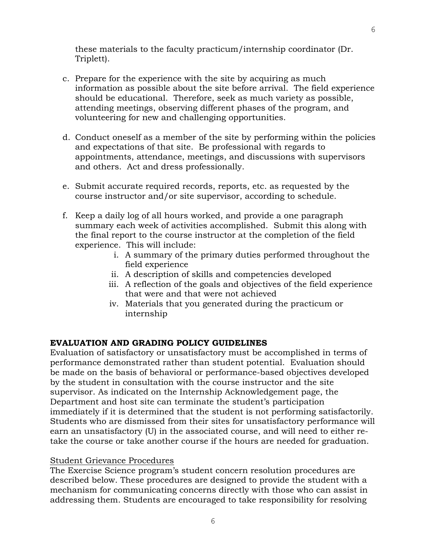these materials to the faculty practicum/internship coordinator (Dr. Triplett).

- c. Prepare for the experience with the site by acquiring as much information as possible about the site before arrival. The field experience should be educational. Therefore, seek as much variety as possible, attending meetings, observing different phases of the program, and volunteering for new and challenging opportunities.
- d. Conduct oneself as a member of the site by performing within the policies and expectations of that site. Be professional with regards to appointments, attendance, meetings, and discussions with supervisors and others. Act and dress professionally.
- e. Submit accurate required records, reports, etc. as requested by the course instructor and/or site supervisor, according to schedule.
- f. Keep a daily log of all hours worked, and provide a one paragraph summary each week of activities accomplished. Submit this along with the final report to the course instructor at the completion of the field experience. This will include:
	- i. A summary of the primary duties performed throughout the field experience
	- ii. A description of skills and competencies developed
	- iii. A reflection of the goals and objectives of the field experience that were and that were not achieved
	- iv. Materials that you generated during the practicum or internship

# **EVALUATION AND GRADING POLICY GUIDELINES**

Evaluation of satisfactory or unsatisfactory must be accomplished in terms of performance demonstrated rather than student potential. Evaluation should be made on the basis of behavioral or performance-based objectives developed by the student in consultation with the course instructor and the site supervisor. As indicated on the Internship Acknowledgement page, the Department and host site can terminate the student's participation immediately if it is determined that the student is not performing satisfactorily. Students who are dismissed from their sites for unsatisfactory performance will earn an unsatisfactory (U) in the associated course, and will need to either retake the course or take another course if the hours are needed for graduation.

### Student Grievance Procedures

The Exercise Science program's student concern resolution procedures are described below. These procedures are designed to provide the student with a mechanism for communicating concerns directly with those who can assist in addressing them. Students are encouraged to take responsibility for resolving